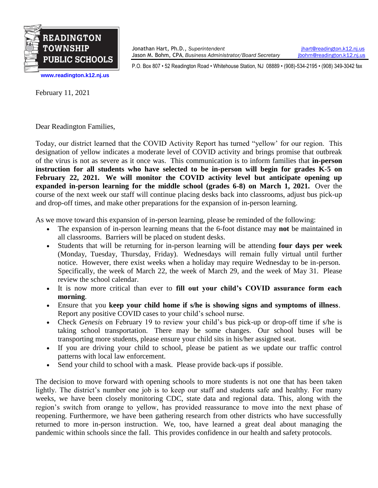

Jonathan Hart, Ph.D., *Superintendent* [jhart@readington.k12.nj.us](mailto:jhart@readington.k12.nj.us) Jason M. Bohm, CPA, *Business Administrator/Board Secretary* [jbohm@readington.k12.nj.us](mailto:jbohm@readington.k12.nj.us)

P.O. Box 807 • 52 Readington Road • Whitehouse Station, NJ 08889 • (908)-534-2195 • (908) 349-3042 fax

**[www.readington.k12.nj.us](http://www.readington.k12.nj.us/)**

February 11, 2021

Dear Readington Families,

Today, our district learned that the COVID Activity Report has turned "yellow' for our region. This designation of yellow indicates a moderate level of COVID activity and brings promise that outbreak of the virus is not as severe as it once was. This communication is to inform families that **in-person instruction for all students who have selected to be in-person will begin for grades K-5 on February 22, 2021. We will monitor the COVID activity level but anticipate opening up expanded in-person learning for the middle school (grades 6-8) on March 1, 2021.** Over the course of the next week our staff will continue placing desks back into classrooms, adjust bus pick-up and drop-off times, and make other preparations for the expansion of in-person learning.

As we move toward this expansion of in-person learning, please be reminded of the following:

- The expansion of in-person learning means that the 6-foot distance may **not** be maintained in all classrooms. Barriers will be placed on student desks.
- Students that will be returning for in-person learning will be attending **four days per week** (Monday, Tuesday, Thursday, Friday). Wednesdays will remain fully virtual until further notice. However, there exist weeks when a holiday may require Wednesday to be in-person. Specifically, the week of March 22, the week of March 29, and the week of May 31. Please review the school calendar.
- It is now more critical than ever to **fill out your child's COVID assurance form each morning**.
- Ensure that you **keep your child home if s/he is showing signs and symptoms of illness**. Report any positive COVID cases to your child's school nurse.
- Check *Genesis* on February 19 to review your child's bus pick-up or drop-off time if s/he is taking school transportation. There may be some changes. Our school buses will be transporting more students, please ensure your child sits in his/her assigned seat.
- If you are driving your child to school, please be patient as we update our traffic control patterns with local law enforcement.
- Send your child to school with a mask. Please provide back-ups if possible.

The decision to move forward with opening schools to more students is not one that has been taken lightly. The district's number one job is to keep our staff and students safe and healthy. For many weeks, we have been closely monitoring CDC, state data and regional data. This, along with the region's switch from orange to yellow, has provided reassurance to move into the next phase of reopening. Furthermore, we have been gathering research from other districts who have successfully returned to more in-person instruction. We, too, have learned a great deal about managing the pandemic within schools since the fall. This provides confidence in our health and safety protocols.